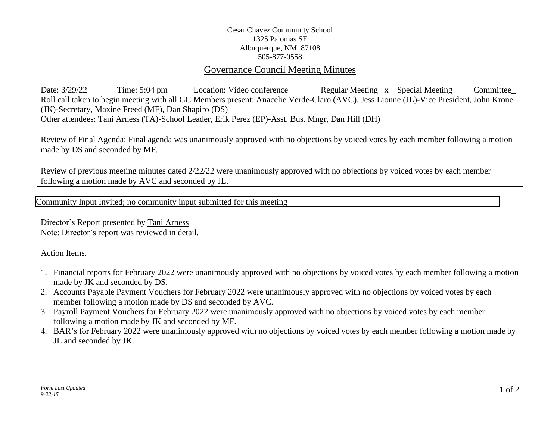## Cesar Chavez Community School 1325 Palomas SE Albuquerque, NM 87108 505-877-0558

## Governance Council Meeting Minutes

Date:  $3/29/22$  Time: 5:04 pm Location: Video conference Regular Meeting x Special Meeting Committee Roll call taken to begin meeting with all GC Members present: Anacelie Verde-Claro (AVC), Jess Lionne (JL)-Vice President, John Krone (JK)-Secretary, Maxine Freed (MF), Dan Shapiro (DS) Other attendees: Tani Arness (TA)-School Leader, Erik Perez (EP)-Asst. Bus. Mngr, Dan Hill (DH)

Review of Final Agenda: Final agenda was unanimously approved with no objections by voiced votes by each member following a motion made by DS and seconded by MF.

Review of previous meeting minutes dated 2/22/22 were unanimously approved with no objections by voiced votes by each member following a motion made by AVC and seconded by JL.

Community Input Invited; no community input submitted for this meeting

Director's Report presented by Tani Arness Note: Director's report was reviewed in detail.

## Action Items:

- 1. Financial reports for February 2022 were unanimously approved with no objections by voiced votes by each member following a motion made by JK and seconded by DS.
- 2. Accounts Payable Payment Vouchers for February 2022 were unanimously approved with no objections by voiced votes by each member following a motion made by DS and seconded by AVC.
- 3. Payroll Payment Vouchers for February 2022 were unanimously approved with no objections by voiced votes by each member following a motion made by JK and seconded by MF.
- 4. BAR's for February 2022 were unanimously approved with no objections by voiced votes by each member following a motion made by JL and seconded by JK.